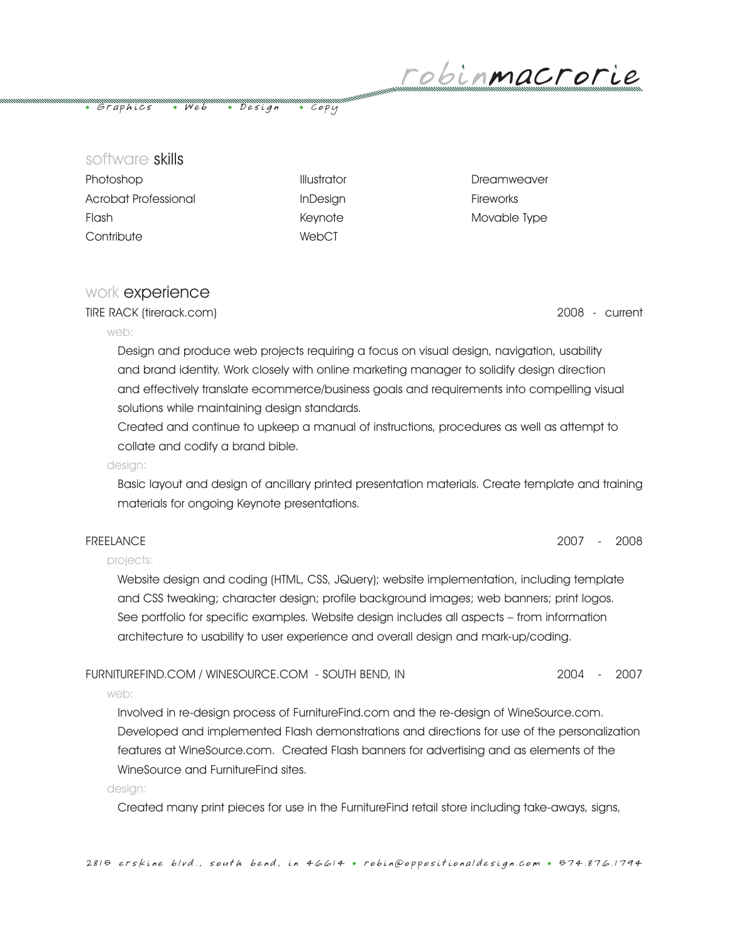robinmacrorie

• Graphics • Web • Design • Copy

software skills

| Photoshop            |
|----------------------|
| Acrobat Professional |
| Flash                |
| Contribute           |

WebCT

Photoshop Illustrator Dreamweaver InDesign Fireworks Keynote Movable Type

# work experience

TIRE RACK (tirerack.com) 2008 - current

### web:

Design and produce web projects requiring a focus on visual design, navigation, usability and brand identity. Work closely with online marketing manager to solidify design direction and effectively translate ecommerce/business goals and requirements into compelling visual solutions while maintaining design standards.

Created and continue to upkeep a manual of instructions, procedures as well as attempt to collate and codify a brand bible.

### design:

Basic layout and design of ancillary printed presentation materials. Create template and training materials for ongoing Keynote presentations.

## FREELANCE 2007 - 2008

## projects:

Website design and coding (HTML, CSS, JQuery); website implementation, including template and CSS tweaking; character design; profile background images; web banners; print logos. See portfolio for specific examples. Website design includes all aspects – from information architecture to usability to user experience and overall design and mark-up/coding.

## FURNITUREFIND.COM / WINESOURCE.COM - SOUTH BEND, IN 2004 - 2007

web:

Involved in re-design process of FurnitureFind.com and the re-design of WineSource.com. Developed and implemented Flash demonstrations and directions for use of the personalization features at WineSource.com. Created Flash banners for advertising and as elements of the WineSource and FurnitureFind sites.

### design:

Created many print pieces for use in the FurnitureFind retail store including take-aways, signs,